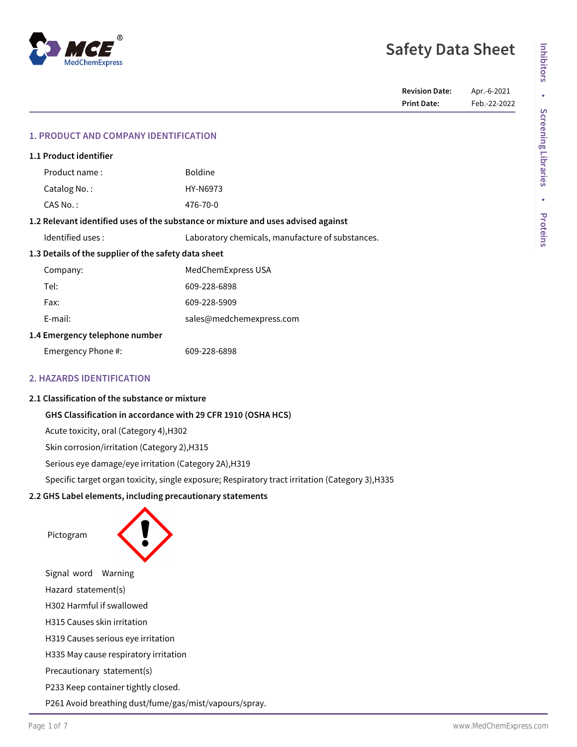# **Safety Data Sheet**

# **1. PRODUCT AND COMPANY IDENTIFICATION**

| 1.1 Product identifier                                                            |                                                  |  |
|-----------------------------------------------------------------------------------|--------------------------------------------------|--|
| Product name:                                                                     | <b>Boldine</b>                                   |  |
| Catalog No.:                                                                      | HY-N6973                                         |  |
| CAS No.:                                                                          | 476-70-0                                         |  |
| 1.2 Relevant identified uses of the substance or mixture and uses advised against |                                                  |  |
| Identified uses:                                                                  | Laboratory chemicals, manufacture of substances. |  |
| 1.3 Details of the supplier of the safety data sheet                              |                                                  |  |
| Company:                                                                          | MedChemExpress USA                               |  |
| Tel:                                                                              | 609-228-6898                                     |  |
| Fax:                                                                              | 609-228-5909                                     |  |
| E-mail:                                                                           | sales@medchemexpress.com                         |  |
| 1.4 Emergency telephone number                                                    |                                                  |  |
| Emergency Phone #:                                                                | 609-228-6898                                     |  |
|                                                                                   |                                                  |  |

# **2. HAZARDS IDENTIFICATION**

## **2.1 Classification of the substance or mixture**

# **GHS Classification in accordance with 29 CFR 1910 (OSHA HCS)**

Acute toxicity, oral (Category 4),H302

Skin corrosion/irritation (Category 2),H315

Serious eye damage/eye irritation (Category 2A),H319

Specific target organ toxicity, single exposure; Respiratory tract irritation (Category 3),H335

# **2.2 GHS Label elements, including precautionary statements**

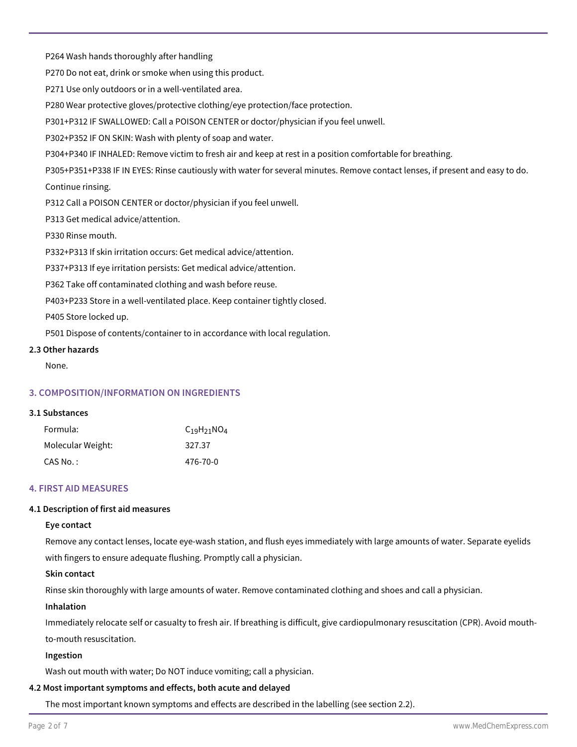P264 Wash hands thoroughly after handling

P270 Do not eat, drink or smoke when using this product.

P271 Use only outdoors or in a well-ventilated area.

P280 Wear protective gloves/protective clothing/eye protection/face protection.

P301+P312 IF SWALLOWED: Call a POISON CENTER or doctor/physician if you feel unwell.

P302+P352 IF ON SKIN: Wash with plenty of soap and water.

P304+P340 IF INHALED: Remove victim to fresh air and keep at rest in a position comfortable for breathing.

P305+P351+P338 IF IN EYES: Rinse cautiously with water for several minutes. Remove contact lenses, if present and easy to do. Continue rinsing.

P312 Call a POISON CENTER or doctor/physician if you feel unwell.

P313 Get medical advice/attention.

P330 Rinse mouth.

P332+P313 If skin irritation occurs: Get medical advice/attention.

P337+P313 If eye irritation persists: Get medical advice/attention.

P362 Take off contaminated clothing and wash before reuse.

P403+P233 Store in a well-ventilated place. Keep container tightly closed.

P405 Store locked up.

P501 Dispose of contents/container to in accordance with local regulation.

## **2.3 Other hazards**

None.

# **3. COMPOSITION/INFORMATION ON INGREDIENTS**

## **3.1 Substances**

| Formula:          | $C_{19}H_{21}NO_4$ |
|-------------------|--------------------|
| Molecular Weight: | 327.37             |
| CAS No. :         | 476-70-0           |

## **4. FIRST AID MEASURES**

## **4.1 Description of first aid measures**

## **Eye contact**

Remove any contact lenses, locate eye-wash station, and flush eyes immediately with large amounts of water. Separate eyelids with fingers to ensure adequate flushing. Promptly call a physician.

## **Skin contact**

Rinse skin thoroughly with large amounts of water. Remove contaminated clothing and shoes and call a physician.

## **Inhalation**

Immediately relocate self or casualty to fresh air. If breathing is difficult, give cardiopulmonary resuscitation (CPR). Avoid mouthto-mouth resuscitation.

## **Ingestion**

Wash out mouth with water; Do NOT induce vomiting; call a physician.

## **4.2 Most important symptoms and effects, both acute and delayed**

The most important known symptoms and effects are described in the labelling (see section 2.2).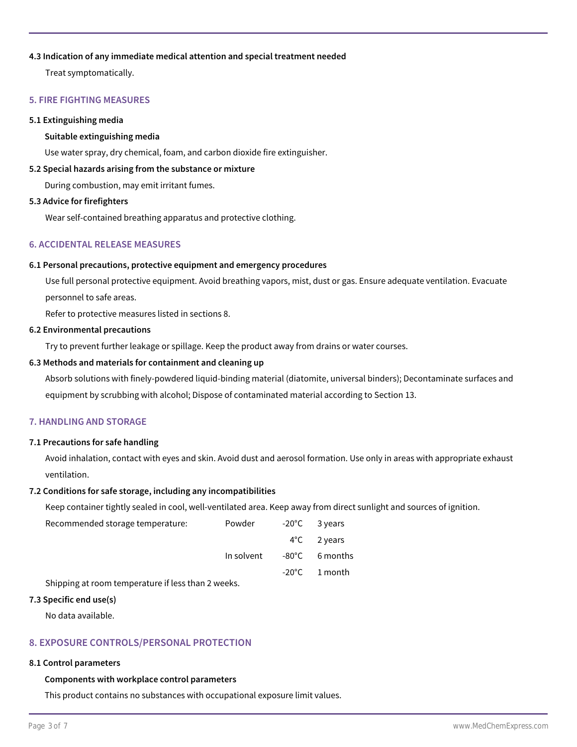## **4.3 Indication of any immediate medical attention and special treatment needed**

Treat symptomatically.

## **5. FIRE FIGHTING MEASURES**

# **5.1 Extinguishing media**

## **Suitable extinguishing media**

Use water spray, dry chemical, foam, and carbon dioxide fire extinguisher.

## **5.2 Special hazards arising from the substance or mixture**

During combustion, may emit irritant fumes.

#### **5.3 Advice for firefighters**

Wear self-contained breathing apparatus and protective clothing.

# **6. ACCIDENTAL RELEASE MEASURES**

## **6.1 Personal precautions, protective equipment and emergency procedures**

Use full personal protective equipment. Avoid breathing vapors, mist, dust or gas. Ensure adequate ventilation. Evacuate personnel to safe areas.

Refer to protective measures listed in sections 8.

#### **6.2 Environmental precautions**

Try to prevent further leakage or spillage. Keep the product away from drains or water courses.

## **6.3 Methods and materials for containment and cleaning up**

Absorb solutions with finely-powdered liquid-binding material (diatomite, universal binders); Decontaminate surfaces and equipment by scrubbing with alcohol; Dispose of contaminated material according to Section 13.

## **7. HANDLING AND STORAGE**

## **7.1 Precautions for safe handling**

Avoid inhalation, contact with eyes and skin. Avoid dust and aerosol formation. Use only in areas with appropriate exhaust ventilation.

## **7.2 Conditions for safe storage, including any incompatibilities**

Keep container tightly sealed in cool, well-ventilated area. Keep away from direct sunlight and sources of ignition.

| Recommended storage temperature:                   | Powder     | $-20^{\circ}$ C 3 years |
|----------------------------------------------------|------------|-------------------------|
|                                                    |            | $4^{\circ}$ C 2 years   |
|                                                    | In solvent | -80°C 6 months          |
|                                                    |            | $-20^{\circ}$ C 1 month |
| Shipping at room temperature if less than 2 weeks. |            |                         |

#### **7.3 Specific end use(s)**

No data available.

## **8. EXPOSURE CONTROLS/PERSONAL PROTECTION**

## **8.1 Control parameters**

## **Components with workplace control parameters**

This product contains no substances with occupational exposure limit values.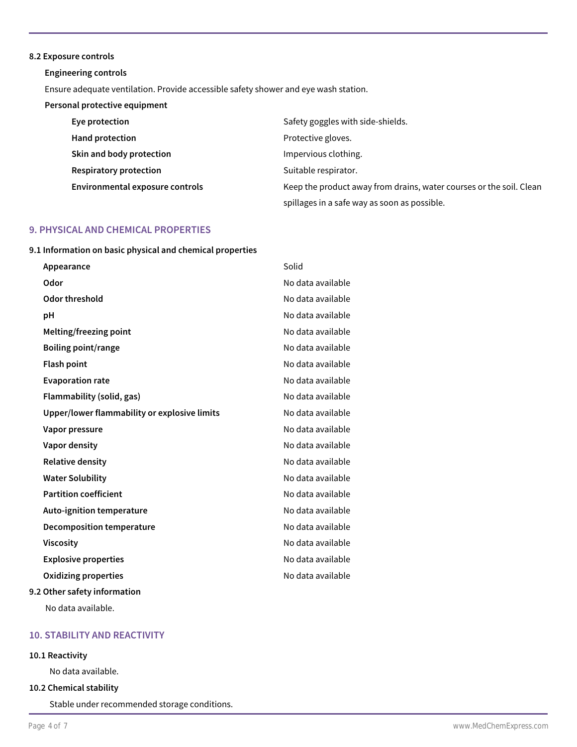#### **8.2 Exposure controls**

**Engineering controls**

Ensure adequate ventilation. Provide accessible safety shower and eye wash station.

# **Personal protective equipment**

| Eye protection                  | Safety goggles with side-shields.                                   |
|---------------------------------|---------------------------------------------------------------------|
| Hand protection                 | Protective gloves.                                                  |
| Skin and body protection        | Impervious clothing.                                                |
| <b>Respiratory protection</b>   | Suitable respirator.                                                |
| Environmental exposure controls | Keep the product away from drains, water courses or the soil. Clean |
|                                 | spillages in a safe way as soon as possible.                        |

# **9. PHYSICAL AND CHEMICAL PROPERTIES**

**9.1 Information on basic physical and chemical properties**

| Appearance                                   | Solid             |
|----------------------------------------------|-------------------|
| Odor                                         | No data available |
| Odor threshold                               | No data available |
| рH                                           | No data available |
| Melting/freezing point                       | No data available |
| Boiling point/range                          | No data available |
| <b>Flash point</b>                           | No data available |
| <b>Evaporation rate</b>                      | No data available |
| Flammability (solid, gas)                    | No data available |
| Upper/lower flammability or explosive limits | No data available |
| Vapor pressure                               | No data available |
| Vapor density                                | No data available |
| <b>Relative density</b>                      | No data available |
| <b>Water Solubility</b>                      | No data available |
| <b>Partition coefficient</b>                 | No data available |
| Auto-ignition temperature                    | No data available |
| <b>Decomposition temperature</b>             | No data available |
| <b>Viscosity</b>                             | No data available |
| <b>Explosive properties</b>                  | No data available |
| Oxidizing properties                         | No data available |
| 9.2 Other safety information                 |                   |

No data available.

# **10. STABILITY AND REACTIVITY**

# **10.1 Reactivity**

No data available.

## **10.2 Chemical stability**

Stable under recommended storage conditions.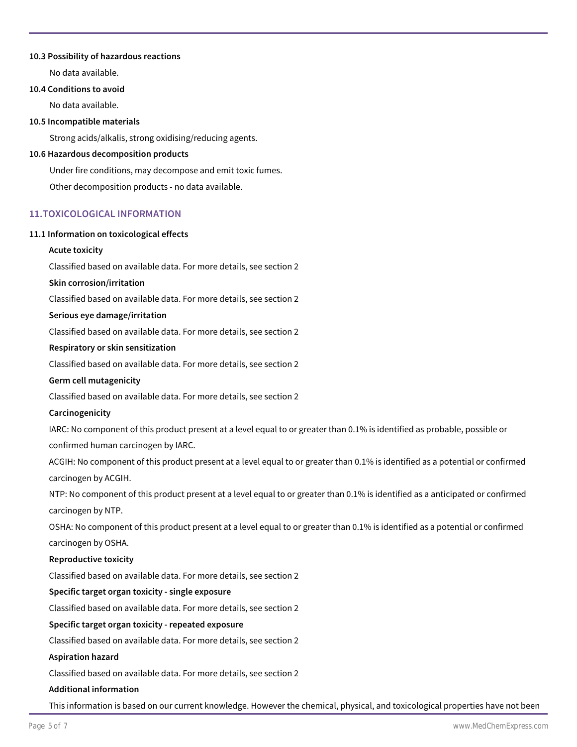## **10.3 Possibility of hazardous reactions**

No data available.

# **10.4 Conditions to avoid**

No data available.

## **10.5 Incompatible materials**

Strong acids/alkalis, strong oxidising/reducing agents.

#### **10.6 Hazardous decomposition products**

Under fire conditions, may decompose and emit toxic fumes. Other decomposition products - no data available.

# **11.TOXICOLOGICAL INFORMATION**

## **11.1 Information on toxicological effects**

## **Acute toxicity**

Classified based on available data. For more details, see section 2

#### **Skin corrosion/irritation**

Classified based on available data. For more details, see section 2

#### **Serious eye damage/irritation**

Classified based on available data. For more details, see section 2

## **Respiratory or skin sensitization**

Classified based on available data. For more details, see section 2

## **Germ cell mutagenicity**

Classified based on available data. For more details, see section 2

## **Carcinogenicity**

IARC: No component of this product present at a level equal to or greater than 0.1% is identified as probable, possible or confirmed human carcinogen by IARC.

ACGIH: No component of this product present at a level equal to or greater than 0.1% is identified as a potential or confirmed carcinogen by ACGIH.

NTP: No component of this product present at a level equal to or greater than 0.1% is identified as a anticipated or confirmed carcinogen by NTP.

OSHA: No component of this product present at a level equal to or greater than 0.1% is identified as a potential or confirmed carcinogen by OSHA.

## **Reproductive toxicity**

Classified based on available data. For more details, see section 2

## **Specific target organ toxicity - single exposure**

Classified based on available data. For more details, see section 2

## **Specific target organ toxicity - repeated exposure**

Classified based on available data. For more details, see section 2

#### **Aspiration hazard**

Classified based on available data. For more details, see section 2

#### **Additional information**

This information is based on our current knowledge. However the chemical, physical, and toxicological properties have not been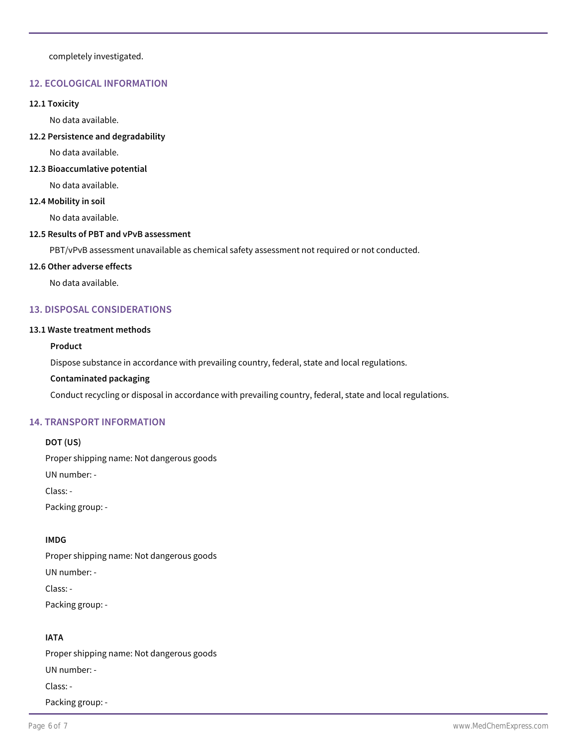completely investigated.

# **12. ECOLOGICAL INFORMATION**

#### **12.1 Toxicity**

No data available.

**12.2 Persistence and degradability**

No data available.

## **12.3 Bioaccumlative potential**

No data available.

## **12.4 Mobility in soil**

No data available.

## **12.5 Results of PBT and vPvB assessment**

PBT/vPvB assessment unavailable as chemical safety assessment not required or not conducted.

#### **12.6 Other adverse effects**

No data available.

# **13. DISPOSAL CONSIDERATIONS**

#### **13.1 Waste treatment methods**

### **Product**

Dispose substance in accordance with prevailing country, federal, state and local regulations.

## **Contaminated packaging**

Conduct recycling or disposal in accordance with prevailing country, federal, state and local regulations.

## **14. TRANSPORT INFORMATION**

# **DOT (US)**

Proper shipping name: Not dangerous goods

UN number: -

Class: -

Packing group: -

# **IMDG**

Proper shipping name: Not dangerous goods UN number: - Class: - Packing group: -

# **IATA**

Proper shipping name: Not dangerous goods UN number: - Class: - Packing group: -